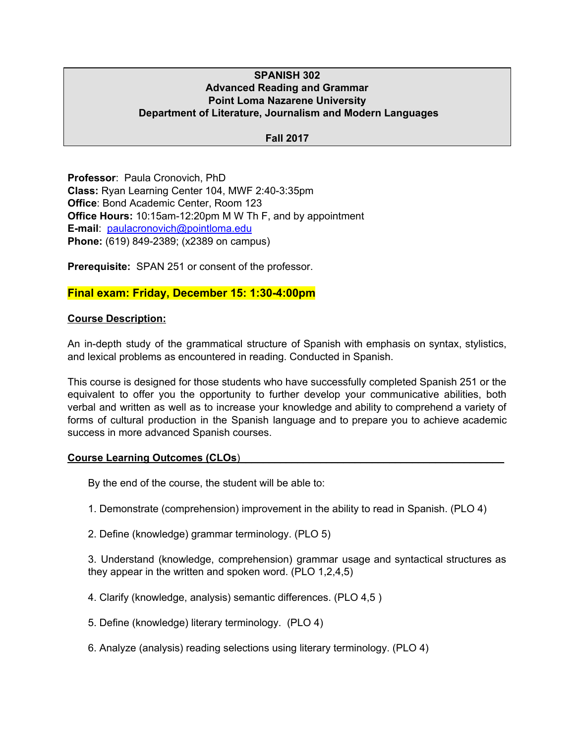### **SPANISH 302 Advanced Reading and Grammar Point Loma Nazarene University Department of Literature, Journalism and Modern Languages**

#### **Fall 2017**

**Professor**: Paula Cronovich, PhD **Class:** Ryan Learning Center 104, MWF 2:40-3:35pm **Office**: Bond Academic Center, Room 123 **Office Hours:** 10:15am-12:20pm M W Th F, and by appointment **E-mail**: [paulacronovich@pointloma.edu](mailto:paulacronovich@pointloma.edu) **Phone:** (619) 849-2389; (x2389 on campus)

**Prerequisite:** SPAN 251 or consent of the professor.

## **Final exam: Friday, December 15: 1:30-4:00pm**

#### **Course Description:**

An in-depth study of the grammatical structure of Spanish with emphasis on syntax, stylistics, and lexical problems as encountered in reading. Conducted in Spanish.

This course is designed for those students who have successfully completed Spanish 251 or the equivalent to offer you the opportunity to further develop your communicative abilities, both verbal and written as well as to increase your knowledge and ability to comprehend a variety of forms of cultural production in the Spanish language and to prepare you to achieve academic success in more advanced Spanish courses.

#### **Course Learning Outcomes (CLOs**)\_\_\_\_\_\_\_\_\_\_\_\_\_\_\_\_\_\_\_\_\_\_\_\_\_\_\_\_\_\_\_\_\_\_\_\_\_\_\_\_\_\_\_\_\_\_

By the end of the course, the student will be able to:

- 1. Demonstrate (comprehension) improvement in the ability to read in Spanish. (PLO 4)
- 2. Define (knowledge) grammar terminology. (PLO 5)

3. Understand (knowledge, comprehension) grammar usage and syntactical structures as they appear in the written and spoken word. (PLO 1,2,4,5)

- 4. Clarify (knowledge, analysis) semantic differences. (PLO 4,5 )
- 5. Define (knowledge) literary terminology. (PLO 4)
- 6. Analyze (analysis) reading selections using literary terminology. (PLO 4)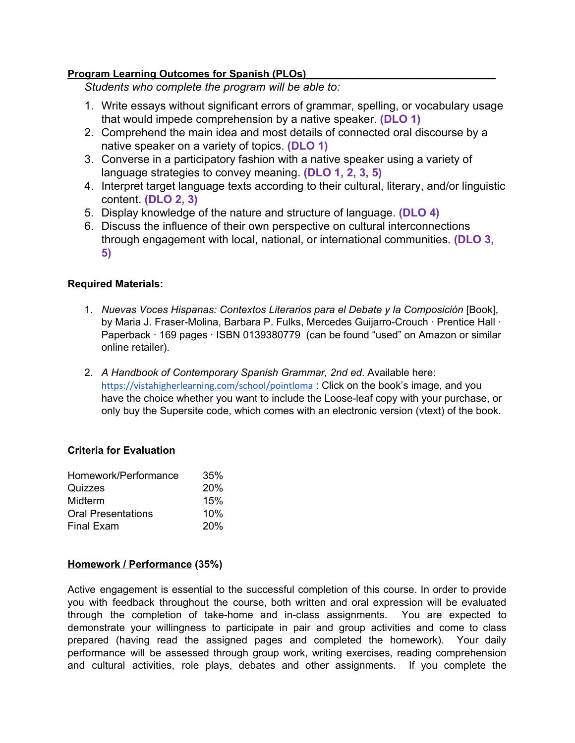## **Program Learning Outcomes for Spanish (PLOs)\_\_\_\_\_\_\_\_\_\_\_\_\_\_\_\_\_\_\_\_\_\_\_\_\_\_\_\_\_\_\_\_\_**

*Students who complete the program will be able to:*

- 1. Write essays without significant errors of grammar, spelling, or vocabulary usage that would impede comprehension by a native speaker. **(DLO 1)**
- 2. Comprehend the main idea and most details of connected oral discourse by a native speaker on a variety of topics. **(DLO 1)**
- 3. Converse in a participatory fashion with a native speaker using a variety of language strategies to convey meaning. **(DLO 1, 2, 3, 5)**
- 4. Interpret target language texts according to their cultural, literary, and/or linguistic content. **(DLO 2, 3)**
- 5. Display knowledge of the nature and structure of language. **(DLO 4)**
- 6. Discuss the influence of their own perspective on cultural interconnections through engagement with local, national, or international communities. **(DLO 3, 5)**

## **Required Materials:**

- 1. *Nuevas Voces Hispanas: Contextos Literarios para el Debate y la Composición* [Book], by Maria J. Fraser-Molina, Barbara P. Fulks, Mercedes Guijarro-Crouch · Prentice Hall · Paperback · 169 pages · ISBN 0139380779 (can be found "used" on Amazon or similar online retailer).
- 2. *A Handbook of Contemporary Spanish Grammar, 2nd ed*. Available here: <https://vistahigherlearning.com/school/pointloma>: Click on the book's image, and you have the choice whether you want to include the Loose-leaf copy with your purchase, or only buy the Supersite code, which comes with an electronic version (vtext) of the book.

## **Criteria for Evaluation**

| Homework/Performance      | 35% |
|---------------------------|-----|
| Quizzes                   | 20% |
| Midterm                   | 15% |
| <b>Oral Presentations</b> | 10% |
| <b>Final Exam</b>         | 20% |
|                           |     |

## **Homework / Performance (35%)**

Active engagement is essential to the successful completion of this course. In order to provide you with feedback throughout the course, both written and oral expression will be evaluated through the completion of take-home and in-class assignments. You are expected to demonstrate your willingness to participate in pair and group activities and come to class prepared (having read the assigned pages and completed the homework). Your daily performance will be assessed through group work, writing exercises, reading comprehension and cultural activities, role plays, debates and other assignments. If you complete the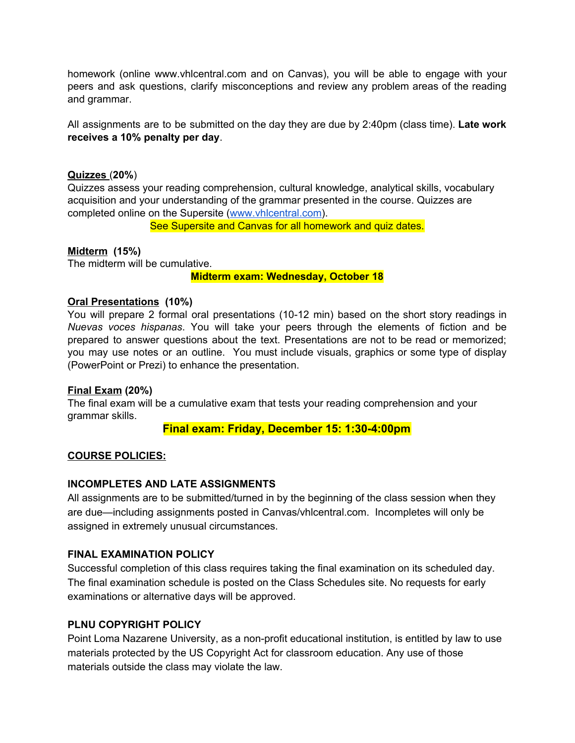homework (online www.vhlcentral.com and on Canvas), you will be able to engage with your peers and ask questions, clarify misconceptions and review any problem areas of the reading and grammar.

All assignments are to be submitted on the day they are due by 2:40pm (class time). **Late work receives a 10% penalty per day**.

### **Quizzes** (**20%**)

Quizzes assess your reading comprehension, cultural knowledge, analytical skills, vocabulary acquisition and your understanding of the grammar presented in the course. Quizzes are completed online on the Supersite [\(www.vhlcentral.com\)](http://www.vhlcentral.com/).

See Supersite and Canvas for all homework and quiz dates.

## **Midterm (15%)**

The midterm will be cumulative.

**Midterm exam: Wednesday, October 18**

#### **Oral Presentations (10%)**

You will prepare 2 formal oral presentations (10-12 min) based on the short story readings in *Nuevas voces hispanas*. You will take your peers through the elements of fiction and be prepared to answer questions about the text. Presentations are not to be read or memorized; you may use notes or an outline. You must include visuals, graphics or some type of display (PowerPoint or Prezi) to enhance the presentation.

#### **Final Exam (20%)**

The final exam will be a cumulative exam that tests your reading comprehension and your grammar skills.

## **Final exam: Friday, December 15: 1:30-4:00pm**

## **COURSE POLICIES:**

#### **INCOMPLETES AND LATE ASSIGNMENTS**

All assignments are to be submitted/turned in by the beginning of the class session when they are due—including assignments posted in Canvas/vhlcentral.com. Incompletes will only be assigned in extremely unusual circumstances.

## **FINAL EXAMINATION POLICY**

Successful completion of this class requires taking the final examination on its scheduled day. The final examination schedule is posted on the Class Schedules site. No requests for early examinations or alternative days will be approved.

## **PLNU COPYRIGHT POLICY**

Point Loma Nazarene University, as a non-profit educational institution, is entitled by law to use materials protected by the US Copyright Act for classroom education. Any use of those materials outside the class may violate the law.